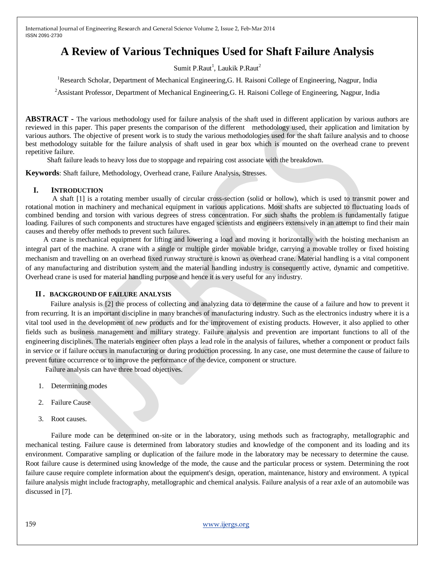# **A Review of Various Techniques Used for Shaft Failure Analysis**

Sumit P.Raut<sup>1</sup>, Laukik P.Raut<sup>2</sup>

<sup>1</sup>Research Scholar, Department of Mechanical Engineering,G. H. Raisoni College of Engineering, Nagpur, India

<sup>2</sup> Assistant Professor, Department of Mechanical Engineering, G. H. Raisoni College of Engineering, Nagpur, India

**ABSTRACT -** The various methodology used for failure analysis of the shaft used in different application by various authors are reviewed in this paper. This paper presents the comparison of the different methodology used, their application and limitation by various authors. The objective of present work is to study the various methodologies used for the shaft failure analysis and to choose best methodology suitable for the failure analysis of shaft used in gear box which is mounted on the overhead crane to prevent repetitive failure.

Shaft failure leads to heavy loss due to stoppage and repairing cost associate with the breakdown.

**Keywords**: Shaft failure, Methodology, Overhead crane, Failure Analysis, Stresses.

#### **I. INTRODUCTION**

 A shaft [1] is a rotating member usually of circular cross-section (solid or hollow), which is used to transmit power and rotational motion in machinery and mechanical equipment in various applications. Most shafts are subjected to fluctuating loads of combined bending and torsion with various degrees of stress concentration. For such shafts the problem is fundamentally fatigue loading. Failures of such components and structures have engaged scientists and engineers extensively in an attempt to find their main causes and thereby offer methods to prevent such failures.

 A crane is mechanical equipment for lifting and lowering a load and moving it horizontally with the hoisting mechanism an integral part of the machine. A crane with a single or multiple girder movable bridge, carrying a movable trolley or fixed hoisting mechanism and travelling on an overhead fixed runway structure is known as overhead crane. Material handling is a vital component of any manufacturing and distribution system and the material handling industry is consequently active, dynamic and competitive. Overhead crane is used for material handling purpose and hence it is very useful for any industry.

#### **II . BACKGROUND OF FAILURE ANALYSIS**

 Failure analysis is [2] the process of collecting and analyzing data to determine the cause of a failure and how to prevent it from recurring. It is an important discipline in many branches of manufacturing industry. Such as the electronics industry where it is a vital tool used in the development of new products and for the improvement of existing products. However, it also applied to other fields such as business management and military strategy. Failure analysis and prevention are important functions to all of the engineering disciplines. The materials engineer often plays a lead role in the analysis of failures, whether a component or product fails in service or if failure occurs in manufacturing or during production processing. In any case, one must determine the cause of failure to prevent future occurrence or to improve the performance of the device, component or structure.

Failure analysis can have three broad objectives.

- 1. Determining modes
- 2. Failure Cause
- 3. Root causes.

Failure mode can be determined on-site or in the laboratory, using methods such as fractography, metallographic and mechanical testing. Failure cause is determined from laboratory studies and knowledge of the component and its loading and its environment. Comparative sampling or duplication of the failure mode in the laboratory may be necessary to determine the cause. Root failure cause is determined using knowledge of the mode, the cause and the particular process or system. Determining the root failure cause require complete information about the equipment's design, operation, maintenance, history and environment. A typical failure analysis might include fractography, metallographic and chemical analysis. Failure analysis of a rear axle of an automobile was discussed in [7].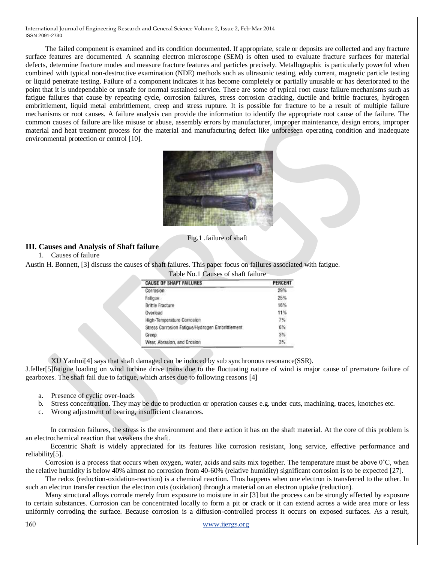The failed component is examined and its condition documented. If appropriate, scale or deposits are collected and any fracture surface features are documented. A scanning electron microscope (SEM) is often used to evaluate fracture surfaces for material defects, determine fracture modes and measure fracture features and particles precisely. Metallographic is particularly powerful when combined with typical non-destructive examination (NDE) methods such as ultrasonic testing, eddy current, magnetic particle testing or liquid penetrate testing. Failure of a component indicates it has become completely or partially unusable or has deteriorated to the point that it is undependable or unsafe for normal sustained service. There are some of typical root cause failure mechanisms such as fatigue failures that cause by repeating cycle, corrosion failures, stress corrosion cracking, ductile and brittle fractures, hydrogen embrittlement, liquid metal embrittlement, creep and stress rupture. It is possible for fracture to be a result of multiple failure mechanisms or root causes. A failure analysis can provide the information to identify the appropriate root cause of the failure. The common causes of failure are like misuse or abuse, assembly errors by manufacturer, improper maintenance, design errors, improper material and heat treatment process for the material and manufacturing defect like unforeseen operating condition and inadequate environmental protection or control [10].



Fig.1 .failure of shaft

# **III. Causes and Analysis of Shaft failure**

1. Causes of failure

Austin H. Bonnett, [3] discuss the causes of shaft failures. This paper focus on failures associated with fatigue.

| Table No.1 Causes of shaft failure              |                |
|-------------------------------------------------|----------------|
| <b>CAUSE OF SHAFT FAILURES</b>                  | <b>PERCENT</b> |
| Corrosion                                       | 29%            |
| Fatigue                                         | 25%            |
| Brittle Fracture                                | 16%            |
| Overload                                        | 11%            |
| High-Temperature Corrosion                      | 7%             |
| Stress Corrosion Fatigue/Hydrogen Embrittlement | 6%             |
| Creep                                           | 3%             |
| Wear, Abrasion, and Erosion                     | 3%             |

XU Yanhui[4] says that shaft damaged can be induced by sub synchronous resonance(SSR).

J.feller[5]fatigue loading on wind turbine drive trains due to the fluctuating nature of wind is major cause of premature failure of gearboxes. The shaft fail due to fatigue, which arises due to following reasons [4]

- a. Presence of cyclic over-loads
- b. Stress concentration. They may be due to production or operation causes e.g. under cuts, machining, traces, knotches etc.
- c. Wrong adjustment of bearing, insufficient clearances.

 In corrosion failures, the stress is the environment and there action it has on the shaft material. At the core of this problem is an electrochemical reaction that weakens the shaft.

 Eccentric Shaft is widely appreciated for its features like corrosion resistant, long service, effective performance and reliability[5].

 Corrosion is a process that occurs when oxygen, water, acids and salts mix together. The temperature must be above 0˚C, when the relative humidity is below 40% almost no corrosion from 40-60% (relative humidity) significant corrosion is to be expected [27].

 The redox (reduction-oxidation-reaction) is a chemical reaction. Thus happens when one electron is transferred to the other. In such an electron transfer reaction the electron cuts (oxidation) through a material on an electron uptake (reduction).

 Many structural [alloys](http://en.wikipedia.org/wiki/Alloy) corrode merely from exposure to moisture in air [3] but the process can be strongly affected by exposure to certain substances. Corrosion can be concentrated locally to form a [pit](http://en.wikipedia.org/wiki/Corrosion#Pitting_corrosion) or crack or it can extend across a wide area more or less uniformly corroding the surface. Because corrosion is a diffusion-controlled process it occurs on exposed surfaces. As a result,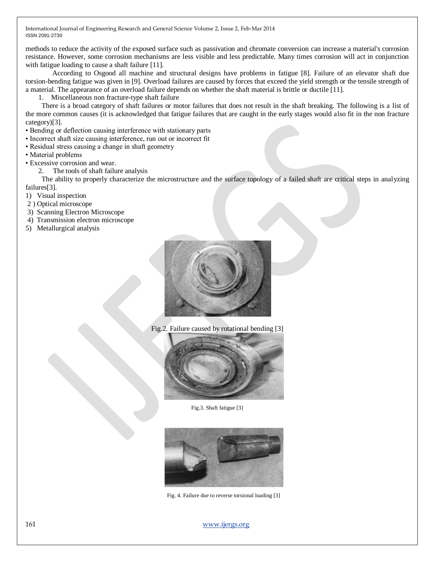methods to reduce the activity of the exposed surface such as [passivation](http://en.wikipedia.org/wiki/Passivation_%28chemistry%29) and [chromate conversion](http://en.wikipedia.org/wiki/Chromate_conversion_coating) can increase a material's corrosion resistance. However, some corrosion mechanisms are less visible and less predictable. Many times corrosion will act in conjunction with fatigue loading to cause a shaft failure [11].

 According to Osgood all machine and structural designs have problems in fatigue [8]. Failure of an elevator shaft due torsion-bending fatigue was given in [9]. Overload failures are caused by forces that exceed the yield strength or the tensile strength of a material. The appearance of an overload failure depends on whether the shaft material is brittle or ductile [11].

1. Miscellaneous non fracture-type shaft failure

 There is a broad category of shaft failures or motor failures that does not result in the shaft breaking. The following is a list of the more common causes (it is acknowledged that fatigue failures that are caught in the early stages would also fit in the non fracture category)[3].

- Bending or deflection causing interference with stationary parts
- Incorrect shaft size causing interference, run out or incorrect fit
- Residual stress causing a change in shaft geometry
- Material problems
- Excessive corrosion and wear.
	- 2. The tools of shaft failure analysis

 The ability to properly characterize the microstructure and the surface topology of a failed shaft are critical steps in analyzing failures[3].

- 1) Visual inspection
- 2 ) Optical microscope
- 3) Scanning Electron Microscope
- 4) Transmission electron microscope
- 5) Metallurgical analysis



Fig.2. Failure caused by rotational bending [3]



Fig.3. Shaft fatigue [3]



Fig. 4. Failure due to reverse torsional loading [3]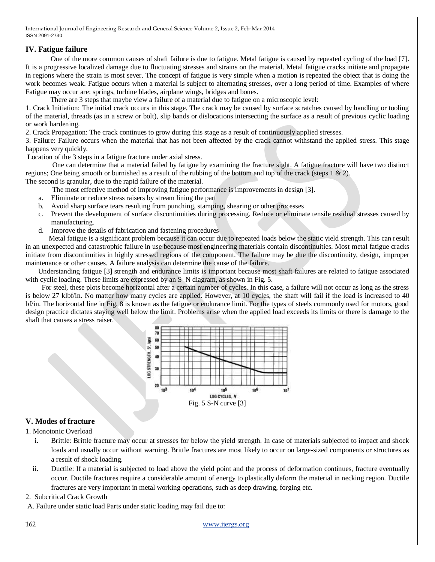# **IV. Fatigue failure**

 One of the more common causes of shaft failure is due to fatigue. Metal fatigue is caused by repeated cycling of the load [7]. It is a progressive localized damage due to fluctuating stresses and strains on the material. Metal fatigue cracks initiate and propagate in regions where the strain is most sever. The concept of fatigue is very simple when a motion is repeated the object that is doing the work becomes weak. Fatigue occurs when a material is subject to alternating stresses, over a long period of time. Examples of where Fatigue may occur are: springs, turbine blades, airplane wings, bridges and bones.

There are 3 steps that maybe view a failure of a material due to fatigue on a microscopic level:

1. Crack Initiation: The initial crack occurs in this stage. The crack may be caused by surface scratches caused by handling or tooling of the material, threads (as in a screw or bolt), slip bands or dislocations intersecting the surface as a result of previous cyclic loading or work hardening.

2. Crack Propagation: The crack continues to grow during this stage as a result of continuously applied stresses.

3. Failure: Failure occurs when the material that has not been affected by the crack cannot withstand the applied stress. This stage happens very quickly.

Location of the 3 steps in a fatigue fracture under axial stress.

 One can determine that a material failed by fatigue by examining the fracture sight. A fatigue fracture will have two distinct regions; One being smooth or burnished as a result of the rubbing of the bottom and top of the crack (steps 1 & 2). The second is granular, due to the rapid failure of the material.

The most effective method of improving fatigue performance is improvements in design [3].

- a. Eliminate or reduce stress raisers by stream lining the part
- b. Avoid sharp surface tears resulting from punching, stamping, shearing or other processes
- c. Prevent the development of surface discontinuities during processing. Reduce or eliminate tensile residual stresses caused by manufacturing.
- d. Improve the details of fabrication and fastening procedures

 Metal fatigue is a significant problem because it can occur due to repeated loads below the static yield strength. This can result in an unexpected and catastrophic failure in use because most engineering materials contain discontinuities. Most metal fatigue cracks initiate from discontinuities in highly stressed regions of the component. The failure may be due the discontinuity, design, improper maintenance or other causes. A failure analysis can determine the cause of the failure.

 Understanding fatigue [3] strength and endurance limits is important because most shaft failures are related to fatigue associated with cyclic loading. These limits are expressed by an S–N diagram, as shown in Fig. 5.

 For steel, these plots become horizontal after a certain number of cycles. In this case, a failure will not occur as long as the stress is below 27 klbf/in. No matter how many cycles are applied. However, at 10 cycles, the shaft will fail if the load is increased to 40 bf/in. The horizontal line in Fig. 8 is known as the fatigue or endurance limit. For the types of steels commonly used for motors, good design practice dictates staying well below the limit. Problems arise when the applied load exceeds its limits or there is damage to the shaft that causes a stress raiser.



# **V. Modes of fracture**

1. Monotonic Overload

- i. Brittle: Brittle fracture may occur at stresses for below the yield strength. In case of materials subjected to impact and shock loads and usually occur without warning. Brittle fractures are most likely to occur on large-sized components or structures as a result of shock loading.
- ii. Ductile: If a material is subjected to load above the yield point and the process of deformation continues, fracture eventually occur. Ductile fractures require a considerable amount of energy to plastically deform the material in necking region. Ductile fractures are very important in metal working operations, such as deep drawing, forging etc.

## 2. Subcritical Crack Growth

A. Failure under static load Parts under static loading may fail due to: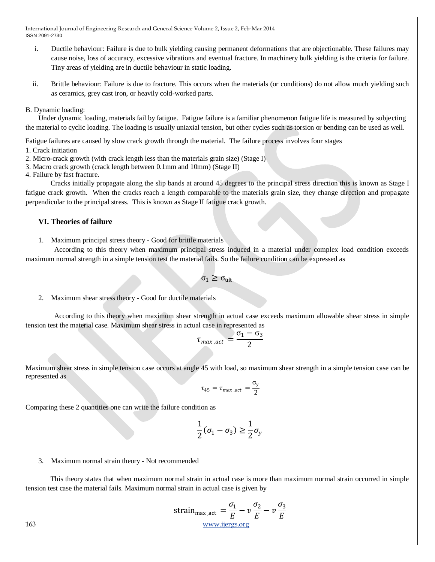- i. Ductile behaviour: Failure is due to bulk yielding causing permanent deformations that are objectionable. These failures may cause noise, loss of accuracy, excessive vibrations and eventual fracture. In machinery bulk yielding is the criteria for failure. Tiny areas of yielding are in ductile behaviour in static loading.
- ii. Brittle behaviour: Failure is due to fracture. This occurs when the materials (or conditions) do not allow much yielding such as ceramics, grey cast iron, or heavily cold-worked parts.

## B. Dynamic loading:

Under dynamic loading, materials fail by fatigue. Fatigue failure is a familiar phenomenon fatigue life is measured by subjecting the material to cyclic loading. The loading is usually uniaxial tension, but other cycles such as torsion or bending can be used as well.

Fatigue failures are caused by slow crack growth through the material. The failure process involves four stages

1. Crack initiation

- 2. Micro-crack growth (with crack length less than the materials grain size) (Stage I)
- 3. Macro crack growth (crack length between 0.1mm and 10mm) (Stage II)
- 4. Failure by fast fracture.

 Cracks initially propagate along the slip bands at around 45 degrees to the principal stress direction this is known as Stage I fatigue crack growth. When the cracks reach a length comparable to the materials grain size, they change direction and propagate perpendicular to the principal stress. This is known as Stage II fatigue crack growth.

# **VI. Theories of failure**

1. Maximum principal stress theory - Good for brittle materials

 According to this theory when maximum principal stress induced in a material under complex load condition exceeds maximum normal strength in a simple tension test the material fails. So the failure condition can be expressed as

$$
\sigma_1 \geq \sigma_{ult}
$$

2. Maximum shear stress theory - Good for ductile materials

 According to this theory when maximum shear strength in actual case exceeds maximum allowable shear stress in simple tension test the material case. Maximum shear stress in actual case in represented as

$$
\tau_{\text{max},act} = \frac{\sigma_1 - \sigma_3}{2}
$$

Maximum shear stress in simple tension case occurs at angle 45 with load, so maximum shear strength in a simple tension case can be represented as

$$
\tau_{45} = \tau_{max,act} = \frac{\sigma_y}{2}
$$

Comparing these 2 quantities one can write the failure condition as

$$
\frac{1}{2}(\sigma_1 - \sigma_3) \ge \frac{1}{2}\sigma_y
$$

3. Maximum normal strain theory - Not recommended

 This theory states that when maximum normal strain in actual case is more than maximum normal strain occurred in simple tension test case the material fails. Maximum normal strain in actual case is given by

$$
\text{strain}_{\text{max}\text{,act}} = \frac{\sigma_1}{E} - v \frac{\sigma_2}{E} - v \frac{\sigma_3}{E}
$$
\n
$$
\frac{\text{www.ijergs.org}}{E}
$$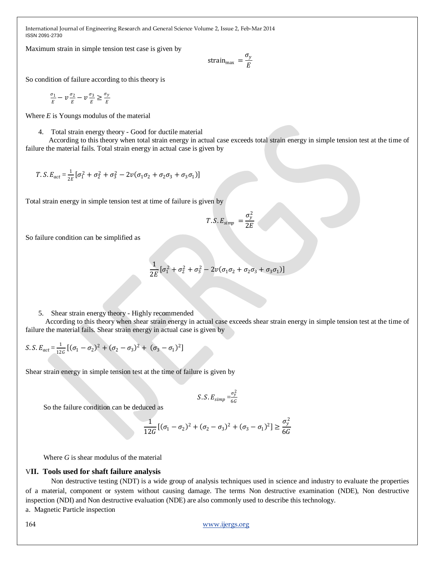Maximum strain in simple tension test case is given by

strain<sub>max</sub> = 
$$
\frac{\sigma_y}{E}
$$

So condition of failure according to this theory is

$$
\frac{\sigma_1}{E} - \nu \frac{\sigma_2}{E} - \nu \frac{\sigma_3}{E} \ge \frac{\sigma_y}{E}
$$

Where *E* is Youngs modulus of the material

4. Total strain energy theory - Good for ductile material

 According to this theory when total strain energy in actual case exceeds total strain energy in simple tension test at the time of failure the material fails. Total strain energy in actual case is given by

$$
T.S.E_{act} = \frac{1}{2E} [\sigma_1^2 + \sigma_2^2 + \sigma_3^2 - 2\nu(\sigma_1\sigma_2 + \sigma_2\sigma_3 + \sigma_3\sigma_1)]
$$

Total strain energy in simple tension test at time of failure is given by

$$
T.S.E_{simp} = \frac{\sigma_y^2}{2E}
$$

So failure condition can be simplified as

$$
\frac{1}{2E}[\sigma_1^2 + \sigma_2^2 + \sigma_3^2 - 2\nu(\sigma_1\sigma_2 + \sigma_2\sigma_3 + \sigma_3\sigma_1)]
$$

5. Shear strain energy theory - Highly recommended

 According to this theory when shear strain energy in actual case exceeds shear strain energy in simple tension test at the time of failure the material fails. Shear strain energy in actual case is given by

$$
S.S.E_{act} = \frac{1}{126} \left[ (\sigma_1 - \sigma_2)^2 + (\sigma_2 - \sigma_3)^2 + (\sigma_3 - \sigma_1)^2 \right]
$$

Shear strain energy in simple tension test at the time of failure is given by

$$
S. S. E_{simp} = \frac{\sigma_y^2}{6G}
$$

So the failure condition can be deduced as

$$
\frac{1}{12G}[(\sigma_1 - \sigma_2)^2 + (\sigma_2 - \sigma_3)^2 + (\sigma_3 - \sigma_1)^2] \ge \frac{\sigma_y^2}{6G}
$$

Where *G* is shear modulus of the material

## V**II. Tools used for shaft failure analysis**

Non destructive testing (NDT) is a wide group of analysis techniques used in science and industry to evaluate the properties of a material, component or system without causing damage. The terms Non destructive examination (NDE), Non destructive inspection (NDI) and Non destructive evaluation (NDE) are also commonly used to describe this technology.

a. Magnetic Particle inspection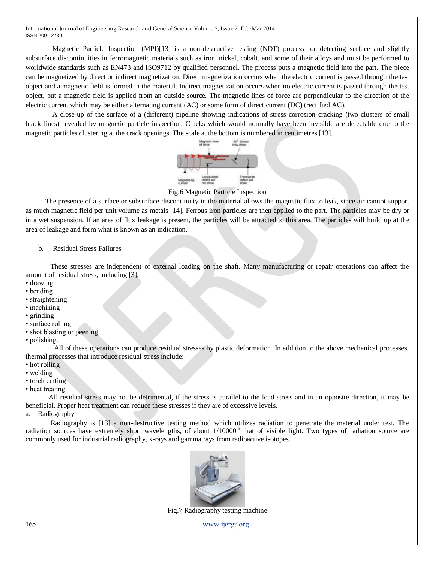Magnetic Particle Inspection (MPI)[13] is a [non-destructive testing](http://en.wikipedia.org/wiki/Non-destructive_testing) (NDT) process for detecting surface and slightly subsurface discontinuities in [ferromagnetic materials](http://en.wikipedia.org/wiki/Ferromagnetism) such as [iron,](http://en.wikipedia.org/wiki/Iron) [nickel,](http://en.wikipedia.org/wiki/Nickel) [cobalt,](http://en.wikipedia.org/wiki/Cobalt) and some of their [alloys](http://en.wikipedia.org/wiki/Alloys) and must be performed to worldwide standards such as EN473 and ISO9712 by qualified personnel. The process puts a magnetic field into the part. The piece can be magnetized by direct or indirect magnetization. Direct magnetization occurs when the electric current is passed through the test object and a magnetic field is formed in the material. Indirect magnetization occurs when no electric current is passed through the test object, but a magnetic field is applied from an outside source. The magnetic lines of force are perpendicular to the direction of the electric current which may be either [alternating current](http://en.wikipedia.org/wiki/Alternating_current) (AC) or some form of [direct current](http://en.wikipedia.org/wiki/Direct_current) (DC) (rectified AC).

 A close-up of the surface of a (different) [pipeline](http://en.wikipedia.org/wiki/Pipeline_transport) showing indications of [stress corrosion cracking](http://en.wikipedia.org/wiki/Stress_corrosion_cracking) (two clusters of small black lines) revealed by magnetic particle inspection. Cracks which would normally have been invisible are detectable due to the magnetic particles clustering at the crack openings. The scale at the bottom is numbered in centimetres [13].



Fig.6 Magnetic Particle Inspection

 The presence of a surface or subsurface discontinuity in the material allows the [magnetic flux](http://en.wikipedia.org/wiki/Magnetic_flux) to leak, since air cannot support as much magnetic field per unit volume as metals [14]. Ferrous iron particles are then applied to the part. The particles may be dry or in a wet suspension. If an area of flux leakage is present, the particles will be attracted to this area. The particles will build up at the area of leakage and form what is known as an indication.

#### b. Residual Stress Failures

 These stresses are independent of external loading on the shaft. Many manufacturing or repair operations can affect the amount of residual stress, including [3].

- drawing
- bending
- straightening
- machining
- grinding
- surface rolling
- shot blasting or peening
- polishing.

 All of these operations can produce residual stresses by plastic deformation. In addition to the above mechanical processes, thermal processes that introduce residual stress include:

- hot rolling
- welding
- torch cutting
- heat treating

 All residual stress may not be detrimental, if the stress is parallel to the load stress and in an opposite direction, it may be beneficial. Proper heat treatment can reduce these stresses if they are of excessive levels.

a. Radiography

 Radiography is [13] a non-destructive testing method which utilizes radiation to penetrate the material under test. The radiation sources have extremely short wavelengths, of about  $1/10000<sup>th</sup>$  that of visible light. Two types of radiation source are commonly used for industrial radiography, x-rays and gamma rays from radioactive isotopes.



Fig.7 Radiography testing machine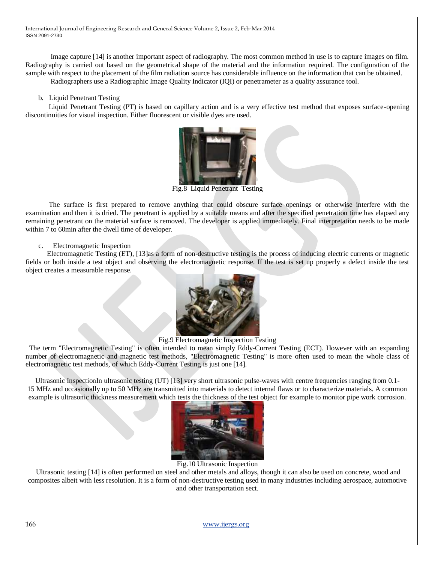Image capture [14] is another important aspect of radiography. The most common method in use is to capture images on film. Radiography is carried out based on the geometrical shape of the material and the information required. The configuration of the sample with respect to the placement of the film radiation source has considerable influence on the information that can be obtained.

Radiographers use a Radiographic Image Quality Indicator (IQI) or penetrameter as a quality assurance tool.

b. Liquid Penetrant Testing

 Liquid Penetrant Testing (PT) is based on capillary action and is a very effective test method that exposes surface-opening discontinuities for visual inspection. Either fluorescent or visible dyes are used.

Fig.8 Liquid Penetrant Testing

 The surface is first prepared to remove anything that could obscure surface openings or otherwise interfere with the examination and then it is dried. The penetrant is applied by a suitable means and after the specified penetration time has elapsed any remaining penetrant on the material surface is removed. The developer is applied immediately. Final interpretation needs to be made within 7 to 60min after the dwell time of developer.

c. Electromagnetic Inspection

 Electromagnetic Testing (ET), [13]as a form of [non-destructive testing](http://en.wikipedia.org/wiki/Nondestructive_testing) is the process of inducing [electric currents](http://en.wikipedia.org/wiki/Electric_current) or [magnetic](http://en.wikipedia.org/wiki/Magnetic_field)  [fields](http://en.wikipedia.org/wiki/Magnetic_field) or both inside a test object and observing the [electromagnetic](http://en.wikipedia.org/wiki/Electromagnetism) response. If the test is set up properly a defect inside the test object creates a measurable response.



Fig.9 Electromagnetic Inspection Testing

 The term "Electromagnetic Testing" is often intended to mean simply [Eddy-Current Testing](http://en.wikipedia.org/wiki/Eddy-Current_Testing) (ECT). However with an expanding number of electromagnetic and magnetic test methods, "Electromagnetic Testing" is more often used to mean the whole class of electromagnetic test methods, of which Eddy-Current Testing is just one [14].

Ultrasonic InspectionIn ultrasonic testing (UT) [13] very short [ultrasonic](http://en.wikipedia.org/wiki/Ultrasound) pulse-waves with centre frequencies ranging from 0.1- 15 MHz and occasionally up to 50 MHz are transmitted into materials to detect internal flaws or to characterize materials. A common example is [ultrasonic thickness measurement](http://en.wikipedia.org/wiki/Ultrasonic_thickness_measurement) which tests the thickness of the test object for example to monitor pipe work [corrosion.](http://en.wikipedia.org/wiki/Corrosion)



Fig.10 Ultrasonic Inspection

Ultrasonic testing [14] is often performed on steel and other [metals](http://en.wikipedia.org/wiki/Metals) and alloys, though it can also be used on [concrete,](http://en.wikipedia.org/wiki/Concrete) wood and composites albeit with less resolution. It is a form of [non-destructive testing](http://en.wikipedia.org/wiki/Non-destructive_testing) used in many industries includin[g aerospace,](http://en.wikipedia.org/wiki/Aerospace) [automotive](http://en.wikipedia.org/wiki/Automotive) and other [transportation](http://en.wikipedia.org/wiki/Transportation) sect.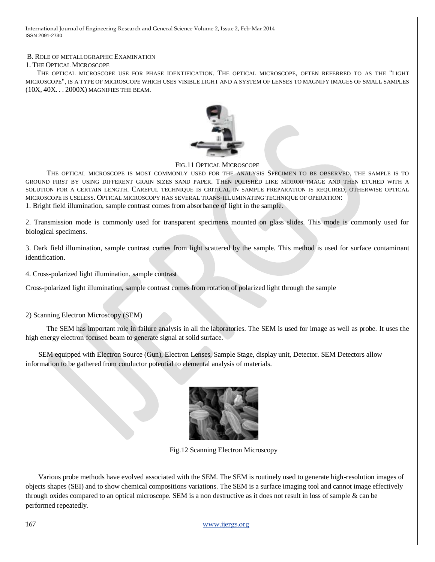#### B. ROLE OF METALLOGRAPHIC EXAMINATION

#### 1. THE OPTICAL MICROSCOPE

 THE OPTICAL MICROSCOPE USE FOR PHASE IDENTIFICATION. THE OPTICAL MICROSCOPE, OFTEN REFERRED TO AS THE "LIGHT MICROSCOPE", IS A TYPE OF MICROSCOPE WHICH USES VISIBLE LIGHT AND A SYSTEM OF LENSES TO MAGNIFY IMAGES OF SMALL SAMPLES (10X, 40X. . . 2000X) MAGNIFIES THE BEAM.



FIG.11 OPTICAL MICROSCOPE

 THE OPTICAL MICROSCOPE IS MOST COMMONLY USED FOR THE ANALYSIS SPECIMEN TO BE OBSERVED, THE SAMPLE IS TO GROUND FIRST BY USING DIFFERENT GRAIN SIZES SAND PAPER. THEN POLISHED LIKE MIRROR IMAGE AND THEN ETCHED WITH A SOLUTION FOR A CERTAIN LENGTH. CAREFUL TECHNIQUE IS CRITICAL IN SAMPLE PREPARATION IS REQUIRED, OTHERWISE OPTICAL MICROSCOPE IS USELESS. OPTICAL MICROSCOPY HAS SEVERAL TRANS-ILLUMINATING TECHNIQUE OF OPERATION: 1. Bright field illumination, sample contrast comes from absorbance of light in the sample.

2. Transmission mode is commonly used for transparent specimens mounted on glass slides. This mode is commonly used for biological specimens.

3. Dark field illumination, sample contrast comes from light scattered by the sample. This method is used for surface contaminant identification.

4. Cross-polarized light illumination, sample contrast

Cross-polarized light illumination, sample contrast comes from rotation of polarized light through the sample

2) Scanning Electron Microscopy (SEM)

 The SEM has important role in failure analysis in all the laboratories. The SEM is used for image as well as probe. It uses the high energy electron focused beam to generate signal at solid surface.

SEM equipped with Electron Source (Gun), Electron Lenses, Sample Stage, display unit, Detector. SEM Detectors allow information to be gathered from conductor potential to elemental analysis of materials.



Fig.12 Scanning Electron Microscopy

Various probe methods have evolved associated with the SEM. The SEM is routinely used to generate high-resolution images of objects shapes (SEI) and to show chemical compositions variations. The SEM is a surface imaging tool and cannot image effectively through oxides compared to an optical microscope. SEM is a non destructive as it does not result in loss of sample & can be performed repeatedly.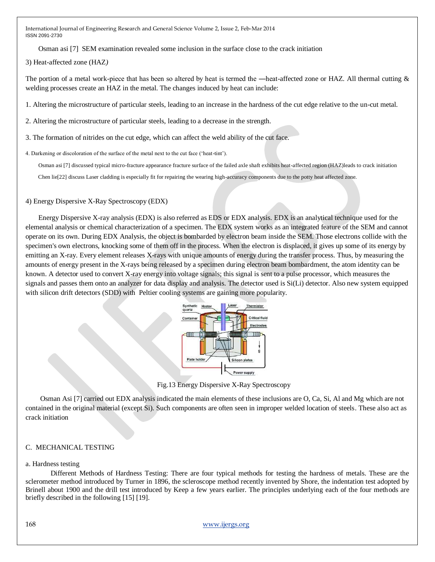Osman asi [7] SEM examination revealed some inclusion in the surface close to the crack initiation

3) Heat-affected zone (HAZ*)* 

The portion of a metal work-piece that has been so altered by heat is termed the —heat-affected zone or HAZ. All thermal cutting & welding processes create an HAZ in the metal. The changes induced by heat can include:

1. Altering the microstructure of particular steels, leading to an increase in the hardness of the cut edge relative to the un-cut metal.

2. Altering the microstructure of particular steels, leading to a decrease in the strength.

3. The formation of nitrides on the cut edge, which can affect the weld ability of the cut face.

4. Darkening or discoloration of the surface of the metal next to the cut face ("heat-tint").

Osman asi [7] discussed typical micro-fracture appearance fracture surface of the failed axle shaft exhibits heat-affected region (HAZ)leads to crack initiation

Chen lie[22] discuss Laser cladding is especially fit for repairing the wearing high-accuracy components due to the potty heat affected zone.

## 4) Energy Dispersive X-Ray Spectroscopy (EDX)

Energy Dispersive X-ray analysis (EDX) is also referred as EDS or EDX analysis. EDX is an analytical technique used for the elemental analysis or chemical characterization of a specimen. The EDX system works as an integrated feature of the SEM and cannot operate on its own. During EDX Analysis, the object is bombarded by electron beam inside the SEM. Those electrons collide with the specimen's own electrons, knocking some of them off in the process. When the electron is displaced, it gives up some of its energy by emitting an X-ray. Every element releases X-rays with unique amounts of energy during the transfer process. Thus, by measuring the amounts of energy present in the X-rays being released by a specimen during electron beam bombardment, the atom identity can be known. A detector used to convert X-ray energy into voltage signals; this signal is sent to a pulse processor, which measures the signals and passes them onto an analyzer for data display and analysis. The detector used is Si(Li) detector. Also new system equipped with silicon drift detectors (SDD) with Peltier cooling systems are gaining more popularity.



Fig.13 Energy Dispersive X-Ray Spectroscopy

Osman Asi [7] carried out EDX analysis indicated the main elements of these inclusions are O, Ca, Si, Al and Mg which are not contained in the original material (except Si). Such components are often seen in improper welded location of steels. These also act as crack initiation

## C. MECHANICAL TESTING

#### a. Hardness testing

 Different Methods of Hardness Testing: There are four typical methods for testing the hardness of metals. These are the sclerometer method introduced by Turner in 1896, the scleroscope method recently invented by Shore, the indentation test adopted by Brinell about 1900 and the drill test introduced by Keep a few years earlier. The principles underlying each of the four methods are briefly described in the following [15] [19].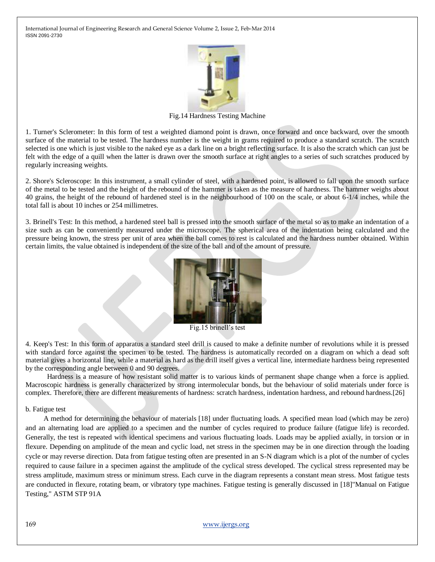

Fig.14 Hardness Testing Machine

1. Turner's Sclerometer: In this form of test a weighted diamond point is drawn, once forward and once backward, over the smooth surface of the material to be tested. The hardness number is the weight in grams required to produce a standard scratch. The scratch selected is one which is just visible to the naked eye as a dark line on a bright reflecting surface. It is also the scratch which can just be felt with the edge of a quill when the latter is drawn over the smooth surface at right angles to a series of such scratches produced by regularly increasing weights.

2. Shore's Scleroscope: In this instrument, a small cylinder of steel, with a hardened point, is allowed to fall upon the smooth surface of the metal to be tested and the height of the rebound of the hammer is taken as the measure of hardness. The hammer weighs about 40 grains, the height of the rebound of hardened steel is in the neighbourhood of 100 on the scale, or about 6-1/4 inches, while the total fall is about 10 inches or 254 millimetres.

3. Brinell's Test: In this method, a hardened steel ball is pressed into the smooth surface of the metal so as to make an indentation of a size such as can be conveniently measured under the microscope. The spherical area of the indentation being calculated and the pressure being known, the stress per unit of area when the ball comes to rest is calculated and the hardness number obtained. Within certain limits, the value obtained is independent of the size of the ball and of the amount of pressure.



Fig.15 brinell"s test

4. Keep's Test: In this form of apparatus a standard steel drill is caused to make a definite number of revolutions while it is pressed with standard force against the specimen to be tested. The hardness is automatically recorded on a diagram on which a dead soft material gives a horizontal line, while a material as hard as the drill itself gives a vertical line, intermediate hardness being represented by the corresponding angle between 0 and 90 degrees.

 Hardness is a measure of how resistant [solid](http://en.wikipedia.org/wiki/Solid) [matter](http://en.wikipedia.org/wiki/Matter) is to various kinds of permanent shape change when a [force](http://en.wikipedia.org/wiki/Force) is applied. Macroscopic hardness is generally characterized by strong [intermolecular bonds,](http://en.wikipedia.org/wiki/Intermolecular_bond) but the behaviour of solid materials under force is complex. Therefore, there are different measurements of hardness: scratch hardness, indentation hardness, and rebound hardness.[26]

#### b. Fatigue test

 A method for determining the behaviour of materials [18] under fluctuating loads. A specified mean load (which may be zero) and an alternating load are applied to a specimen and the number of cycles required to produce failure (fatigue life) is recorded. Generally, the test is repeated with identical specimens and various fluctuating loads. Loads may be applied axially, in torsion or in flexure. Depending on amplitude of the mean and cyclic load, net stress in the specimen may be in one direction through the loading cycle or may reverse direction. Data from fatigue testing often are presented in an S-N diagram which is a plot of the number of cycles required to cause failure in a specimen against the amplitude of the cyclical stress developed. The cyclical stress represented may be stress amplitude, maximum stress or minimum stress. Each curve in the diagram represents a constant mean stress. Most fatigue tests are conducted in flexure, rotating beam, or vibratory type machines. Fatigue testing is generally discussed in [18]"Manual on Fatigue Testing," ASTM STP 91A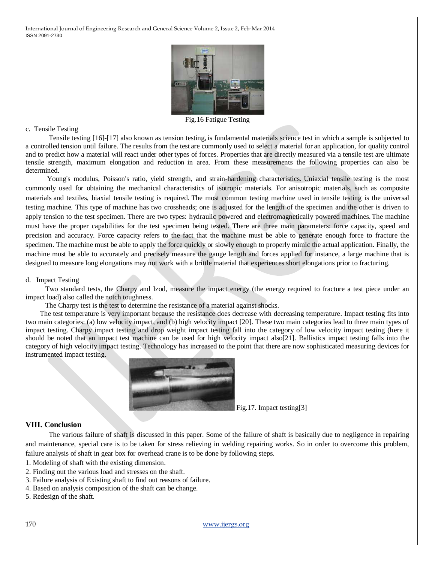

Fig.16 Fatigue Testing

#### c. Tensile Testing

 Tensile testing [16]-[17] also known as tension testing, is fundamental [materials science](http://en.wikipedia.org/wiki/Materials_science) test in which a sample is subjected to a controlled [tension](http://en.wikipedia.org/wiki/Tension_%28physics%29) until failure. The results from the test are commonly used to select a material for an application, fo[r quality control](http://en.wikipedia.org/wiki/Quality_control) and to predict how a material will react under other types of [forces.](http://en.wikipedia.org/wiki/Force) Properties that are directly measured via a tensile test are [ultimate](http://en.wikipedia.org/wiki/Ultimate_tensile_strength)  [tensile strength,](http://en.wikipedia.org/wiki/Ultimate_tensile_strength) maximum [elongation](http://en.wikipedia.org/wiki/Elongation_%28materials_science%29) and reduction in area. From these measurements the following properties can also be determined.

 [Young's modulus,](http://en.wikipedia.org/wiki/Young%27s_modulus) [Poisson's ratio,](http://en.wikipedia.org/wiki/Poisson%27s_ratio) [yield strength,](http://en.wikipedia.org/wiki/Yield_strength) and [strain-hardening](http://en.wikipedia.org/wiki/Strain-hardening) characteristics. Uniaxial tensile testing is the most commonly used for obtaining the mechanical characteristics of [isotropic](http://en.wikipedia.org/wiki/Isotropy) materials. For [anisotropic](http://en.wikipedia.org/wiki/Anisotropy) materials, such as [composite](http://en.wikipedia.org/wiki/Composite_material)  [materials](http://en.wikipedia.org/wiki/Composite_material) and [textiles,](http://en.wikipedia.org/wiki/Textiles) [biaxial tensile testing](http://en.wikipedia.org/wiki/Plane_biaxial_tensile_test) is required. The most common testing machine used in tensile testing is the [universal](http://en.wikipedia.org/wiki/Universal_testing_machine)  [testing machine.](http://en.wikipedia.org/wiki/Universal_testing_machine) This type of machine has two crossheads; one is adjusted for the length of the specimen and the other is driven to apply tension to the test specimen. There are two types: [hydraulic](http://en.wikipedia.org/wiki/Hydraulic_machinery) powered and [electromagnetically](http://en.wikipedia.org/wiki/Electromagnet) powered machines. The machine must have the proper capabilities for the test specimen being tested. There are three main parameters: force capacity, speed and [precision and accuracy.](http://en.wikipedia.org/wiki/Precision_and_accuracy) Force capacity refers to the fact that the machine must be able to generate enough force to fracture the specimen. The machine must be able to apply the force quickly or slowly enough to properly mimic the actual application. Finally, the machine must be able to accurately and precisely measure the gauge length and forces applied for instance, a large machine that is designed to measure long elongations may not work with a brittle material that experiences short elongations prior to fracturing.

#### d. Impact Testing

 Two standard tests, the Charpy and Izod, measure the impact energy (the energy required to fracture a test piece under an impact load) also called the notch toughness.

The Charpy test is the test to determine the resistance of a material against shocks.

 The test temperature is very important because the resistance does decrease with decreasing temperature. Impact testing fits into two main categories: (a) low velocity impact, and (b) high velocity impact [20]. These two main categories lead to three main types of impact testing. Charpy impact testing and drop weight impact testing fall into the category of low velocity impact testing (here it should be noted that an impact test machine can be used for high velocity impact also[21]. Ballistics impact testing falls into the category of high velocity impact testing. Technology has increased to the point that there are now sophisticated measuring devices for instrumented impact testing.



Fig.17. Impact testing[3]

## **VIII. Conclusion**

 The various failure of shaft is discussed in this paper. Some of the failure of shaft is basically due to negligence in repairing and maintenance, special care is to be taken for stress relieving in welding repairing works. So in order to overcome this problem, failure analysis of shaft in gear box for overhead crane is to be done by following steps.

- 1. Modeling of shaft with the existing dimension.
- 2. Finding out the various load and stresses on the shaft.
- 3. Failure analysis of Existing shaft to find out reasons of failure.
- 4. Based on analysis composition of the shaft can be change.
- 5. Redesign of the shaft.